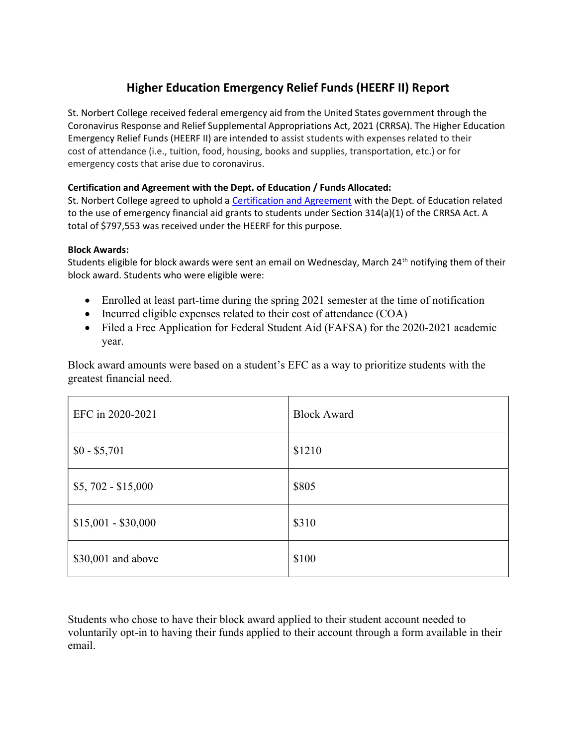## Higher Education Emergency Relief Funds (HEERF II) Report

St. Norbert College received federal emergency aid from the United States government through the Coronavirus Response and Relief Supplemental Appropriations Act, 2021 (CRRSA). The Higher Education Emergency Relief Funds (HEERF II) are intended to assist students with expenses related to their cost of attendance (i.e., tuition, food, housing, books and supplies, transportation, etc.) or for emergency costs that arise due to coronavirus.

## Certification and Agreement with the Dept. of Education / Funds Allocated:

St. Norbert College agreed to uphold a Certification and Agreement with the Dept. of Education related to the use of emergency financial aid grants to students under Section 314(a)(1) of the CRRSA Act. A total of \$797,553 was received under the HEERF for this purpose.

## Block Awards:

Students eligible for block awards were sent an email on Wednesday, March 24<sup>th</sup> notifying them of their block award. Students who were eligible were:

- Enrolled at least part-time during the spring 2021 semester at the time of notification
- Incurred eligible expenses related to their cost of attendance (COA)
- Filed a Free Application for Federal Student Aid (FAFSA) for the 2020-2021 academic year.

Block award amounts were based on a student's EFC as a way to prioritize students with the greatest financial need.

| EFC in 2020-2021    | <b>Block Award</b> |
|---------------------|--------------------|
| $$0 - $5,701$       | \$1210             |
| $$5,702 - $15,000$  | \$805              |
| $$15,001 - $30,000$ | \$310              |
| \$30,001 and above  | \$100              |

Students who chose to have their block award applied to their student account needed to voluntarily opt-in to having their funds applied to their account through a form available in their email.